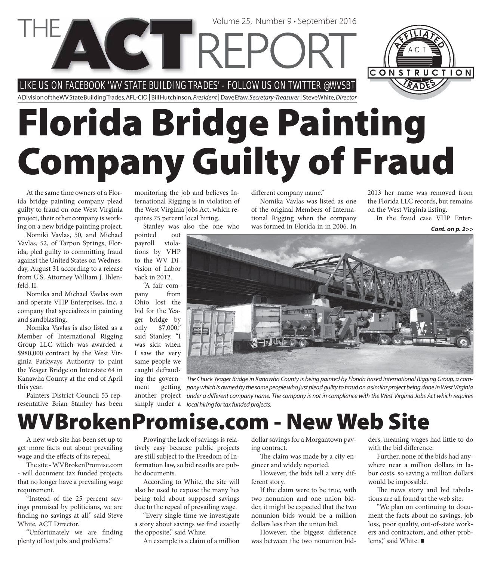LIKE US ON FACEBOOK 'WV STATE BUILDING TRADES' - FOLLOW US ON TWITTER @WVSBT

**CETTREP** 

A Division of the WV State Building Trades, AFL-CIO | Bill Hutchinson, President | Dave Efaw, Secretary-Treasurer | Steve White, Director

# **Florida Bridge Painting Company Guilty of Fraud**

At the same time owners of a Florida bridge painting company plead guilty to fraud on one West Virginia project, their other company is working on a new bridge painting project.

Nomiki Vavlas, 50, and Michael Vavlas, 52, of Tarpon Springs, Florida, pled guilty to committing fraud against the United States on Wednesday, August 31 according to a release from U.S. Attorney William J. Ihlenfeld, II.

Nomika and Michael Vavlas own and operate VHP Enterprises, Inc, a company that specializes in painting and sandblasting.

Nomika Vavlas is also listed as a Member of International Rigging Group LLC which was awarded a \$980,000 contract by the West Virginia Parkways Authority to paint the Yeager Bridge on Interstate 64 in Kanawha County at the end of April this year.

Painters District Council 53 representative Brian Stanley has been

monitoring the job and believes International Rigging is in violation of the West Virginia Jobs Act, which requires 75 percent local hiring.

Stanley was also the one who

pointed out payroll violations by VHP to the WV Division of Labor back in 2012.

"A fair company from Ohio lost the bid for the Yeager bridge by only \$7,000," said Stanley. "I was sick when I saw the very same people we caught defraud-

ing the government getting another project simply under a

different company name."

Volume 25, Number 9 • September 2016

Nomika Vavlas was listed as one of the original Members of International Rigging when the company was formed in Florida in in 2006. In

2013 her name was removed from the Florida LLC records, but remains on the West Virginia listing.

CONSTRUCTION

In the fraud case VHP Enter-

*Cont. on p. 2>>*



The Chuck Yeager Bridge in Kanawha County is being painted by Florida based International Rigging Group, a company which is owned by the same people who just plead guilty to fraud on a similar project being done in West Virginia under a different company name. The company is not in compliance with the West Virginia Jobs Act which requires local hiring for tax funded projects.

### **WVBrokenPromise.com - New Web Site**

A new web site has been set up to get more facts out about prevailing wage and the effects of its repeal.

The site - WVBrokenPromise.com - will document tax funded projects that no longer have a prevailing wage requirement.

"Instead of the 25 percent savings promised by politicians, we are finding no savings at all," said Steve White, ACT Director.

"Unfortunately we are finding plenty of lost jobs and problems."

Proving the lack of savings is relatively easy because public projects are still subject to the Freedom of Information law, so bid results are public documents.

According to White, the site will also be used to expose the many lies being told about supposed savings due to the repeal of prevailing wage.

"Every single time we investigate a story about savings we find exactly the opposite," said White.

An example is a claim of a million

dollar savings for a Morgantown paving contract.

The claim was made by a city engineer and widely reported.

However, the bids tell a very different story.

If the claim were to be true, with two nonunion and one union bidder, it might be expected that the two nonunion bids would be a million dollars less than the union bid.

However, the biggest difference was between the two nonunion bidders, meaning wages had little to do with the bid difference.

Further, none of the bids had anywhere near a million dollars in labor costs, so saving a million dollars would be impossible.

The news story and bid tabulations are all found at the web site.

"We plan on continuing to document the facts about no savings, job loss, poor quality, out-of-state workers and contractors, and other problems," said White.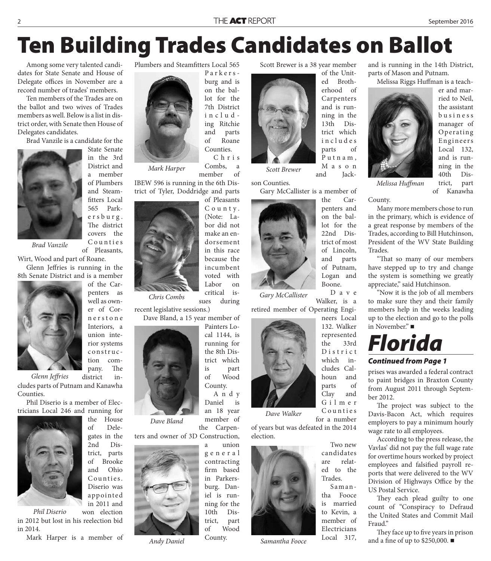### **Ten Building Trades Candidates on Ballot**

Parkersburg and is on the ballot for the 7th District including Ritchie and parts of Roane Counties. C h r i s

Among some very talented candidates for State Senate and House of Delegate offices in November are a record number of trades' members.

Ten members of the Trades are on the ballot and two wives of Trades members as well. Below is a list in district order, with Senate then House of Delegates candidates.

Brad Vanzile is a candidate for the



State Senate in the 3rd District and a member of Plumbers and Steamfitters Local 565 Parke r s b u r g . The district covers the C o u n t i e s of Pleasants,

*Brad Vanzile*

Wirt, Wood and part of Roane.

Glenn Jeffries is running in the 8th Senate District and is a member



of the Carpenters as well as owner of Corn e r s t o n e Interiors, a union interior systems construction com-

pany. The district includes parts of Putnam and Kanawha *Glenn Jeff ries*

Counties. Phil Diserio is a member of Elec-

tricians Local 246 and running for



the House of Delegates in the 2nd District, parts of Brooke and Ohio Counties. Diserio was app ointed in 2011 and

won election in 2012 but lost in his reelection bid in 2014. *Phil Diserio*

Mark Harper is a member of

Combs, a member of *Mark Harper Scott Brewer*

Plumbers and Steamfitters Local 565

IBEW 596 is running in the 6th District of Tyler, Doddridge and parts

> of Pleasants C o u n t y. (Note: Labor did not make an endorsement in this race because the incumbent voted with Labor on critical is-

sues during recent legislative sessions.) *Chris Combs*

Dave Bland, a 15 year member of



*Dave Bland*

ters and owner of 3D Construction,



*Andy Daniel*

Scott Brewer is a 38 year member



M a s o n and **Jack-**

son Counties. Gary McCallister is a member of

> the Carpenters and on the ballot for the 22nd District of most of Lincoln, and parts of Putnam, Logan and Boone. D a v e

*Gary McCallister*

Walker, is a retired member of Operating Engi-



*Dave Walker*

for a number of years but was defeated in the 2014 election.



*Samantha Fooce*

and is running in the 14th District, parts of Mason and Putnam.

Melissa Riggs Huffman is a teach-



er and married to Neil, the assistant b u s i n e s s manager of Operating **Engineers** Local 132, and is running in the 40th District, part of Kanawha

County. *Melissa Huffman* 

Many more members chose to run in the primary, which is evidence of a great response by members of the Trades, according to Bill Hutchinson, President of the WV State Building Trades.

"That so many of our members have stepped up to try and change the system is something we greatly appreciate," said Hutchinson.

"Now it is the job of all members to make sure they and their family members help in the weeks leading up to the election and go to the polls in November."

### *Florida*

#### *Continued from Page 1*

prises was awarded a federal contract to paint bridges in Braxton County from August 2011 through September 2012.

The project was subject to the Davis-Bacon Act, which requires employers to pay a minimum hourly wage rate to all employees.

According to the press release, the Vavlas' did not pay the full wage rate for overtime hours worked by project employees and falsified payroll reports that were delivered to the WV Division of Highways Office by the US Postal Service.

They each plead guilty to one count of "Conspiracy to Defraud the United States and Commit Mail Fraud"

They face up to five years in prison and a fine of up to \$250,000.  $\blacksquare$ 



trict which is part of Wood

A n d y Daniel is an 18 year

member of the Carpen-



County.

trict, part of Wood

County.

in cludes parts of

> neers Local 132. Walker represented the 33rd D i s t r i c t which includes Calhoun and parts of Clay and G i l m e r C o u n t i e s

Two new candidates are related to the Trades.

Samantha Fooce is married to Kevin, a member of Electricians Local 317,

Carpenters and is running in the 13th District which P u t n a m ,

ed Brotherhood of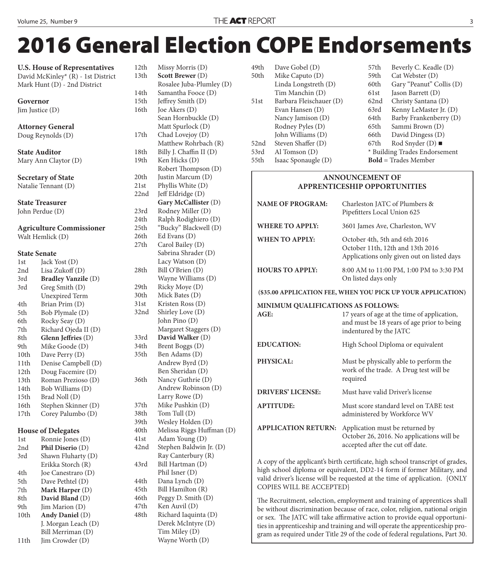## **2016 General Election COPE Endorsements**

**U.S. House of Representatives** David McKinley\* (R) - 1st District Mark Hunt (D) - 2nd District

| Governor             |                                        | 14tl<br>$15$ t $\overline{1}$ |
|----------------------|----------------------------------------|-------------------------------|
| Jim Justice $(D)$    | 16tl                                   |                               |
|                      |                                        |                               |
|                      | <b>Attorney General</b>                |                               |
| Doug Reynolds (D)    | 17t                                    |                               |
|                      |                                        |                               |
| <b>State Auditor</b> | 18tl                                   |                               |
|                      | Mary Ann Claytor (D)                   | 19tl                          |
|                      | <b>Secretary of State</b>              | 20tl                          |
|                      | 21st                                   |                               |
|                      | Natalie Tennant (D)                    | 22n                           |
|                      | <b>State Treasurer</b>                 |                               |
|                      | John Perdue (D)                        | 23r                           |
|                      |                                        | 24t                           |
|                      | <b>Agriculture Commissioner</b>        | 25 <sub>th</sub>              |
| Walt Hemlick (D)     |                                        | 26 <sub>t</sub>               |
|                      |                                        | 27t                           |
|                      | <b>State Senate</b>                    |                               |
| 1st                  | Jack Yost (D)                          |                               |
| 2nd                  | Lisa Zukoff (D)                        | 28 <sub>th</sub>              |
| 3rd                  | <b>Bradley Vanzile (D)</b>             |                               |
| 3rd                  | Greg Smith (D)                         | 29 <sub>t</sub>               |
|                      | <b>Unexpired Term</b>                  | 30tl                          |
| 4th                  | Brian Prim (D)                         | 31st                          |
| 5th                  | Bob Plymale (D)                        | 32n                           |
| 6th                  | Rocky Seay (D)                         |                               |
| 7th                  | Richard Ojeda II (D)                   |                               |
| 8th                  | Glenn Jeffries (D)                     | 33r                           |
| 9th                  | Mike Goode (D)                         | 34tl<br>35 <sub>th</sub>      |
| 10th                 | Dave Perry (D)                         |                               |
| 11th<br>12th         | Denise Campbell (D)                    |                               |
| 13th                 | Doug Facemire (D)                      | 36tl                          |
| 14th                 | Roman Prezioso (D)<br>Bob Williams (D) |                               |
| 15th                 | Brad Noll (D)                          |                               |
| 16th                 | Stephen Skinner (D)                    | 37t                           |
| 17th                 | Corey Palumbo (D)                      | 38tl                          |
|                      |                                        | 39tl                          |
|                      | <b>House of Delegates</b>              | 40tl                          |
| 1st                  | Ronnie Jones (D)                       | 41st                          |
| 2nd                  | Phil Diserio (D)                       | 42n                           |
| 3rd                  | Shawn Fluharty (D)                     |                               |
|                      | Erikka Storch (R)                      | 43r                           |
| 4th                  | Joe Canestraro (D)                     |                               |
| 5th                  | Dave Pethtel (D)                       | 44tl                          |
| 7th                  | Mark Harper (D)                        | 45tl                          |
| 8th                  | David Bland (D)                        | 46tl                          |
| 9th                  | Jim Marion (D)                         | 47t                           |
| 10th                 | Andy Daniel (D)                        | 48tl                          |
|                      | J. Morgan Leach (D)                    |                               |
|                      | Bill Merriman (D)                      |                               |
| 11th                 | Jim Crowder (D)                        |                               |

12th Missy Morris (D) 13th **Scott Brewer** (D) Rosalee Juba-Plumley (D) h Samantha Fooce (D) h Jeffrey Smith (D) h Joe Akers (D) Sean Hornbuckle (D) Matt Spurlock (D) h Chad Lovejoy (D) Matthew Rohrbach (R) h Billy J. Chaffin II (D) Ken Hicks (D) Robert Thompson (D) h Justin Marcum (D) Phyllis White (D) d Jeff Eldridge (D) **Gary McCallister** (D) d Rodney Miller (D) h Ralph Rodighiero (D) h "Bucky" Blackwell (D)  $h$  Ed Evans (D) Carol Bailey (D) Sabrina Shrader (D) Lacy Watson (D)  $h$  Bill O'Brien (D) Wayne Williams (D) h Ricky Moye (D) h Mick Bates (D) Kristen Ross (D) d Shirley Love (D) John Pino (D) Margaret Staggers (D) 33rd **David Walker** (D) h Brent Boggs (D) h Ben Adams (D) Andrew Byrd (D) Ben Sheridan (D) h Nancy Guthrie (D) Andrew Robinson (D) Larry Rowe (D) h Mike Pushkin (D)  $h$  Tom Tull  $(D)$ h Wesley Holden (D) h Melissa Riggs Huffman (D) Adam Young (D) d Stephen Baldwin Jr. (D) Ray Canterbury (R) d Bill Hartman (D) Phil Isner (D) h Dana Lynch (D) h Bill Hamilton (R)  $h$  Peggy D. Smith (D) h Ken Auvil (D) h Richard Iaquinta (D) Derek McIntyre (D) Tim Miley (D) Wayne Worth (D)

| 49th | Dave Gobel (D)          |
|------|-------------------------|
| 50th | Mike Caputo (D)         |
|      | Linda Longstreth (D)    |
|      | Tim Manchin (D)         |
| 51st | Barbara Fleischauer (D) |
|      | Evan Hansen (D)         |
|      | Nancy Jamison (D)       |
|      | Rodney Pyles (D)        |
|      | John Williams (D)       |
| 52nd | Steven Shaffer (D)      |
| 53rd | Al Tomson (D)           |
| 55th | Isaac Sponaugle (D)     |

| 57th                          | Beverly C. Keadle (D)         |  |  |
|-------------------------------|-------------------------------|--|--|
| 59th                          | Cat Webster (D)               |  |  |
| 60th                          | Gary "Peanut" Collis (D)      |  |  |
| 61st                          | Jason Barrett (D)             |  |  |
| 62nd                          | Christy Santana (D)           |  |  |
| 63rd                          | Kenny LeMaster Jr. (D)        |  |  |
| 64th                          | Barby Frankenberry (D)        |  |  |
| 65th                          | Sammi Brown (D)               |  |  |
| 66th                          | David Dingess (D)             |  |  |
| 67th                          | Rod Snyder (D) $\blacksquare$ |  |  |
| * Building Trades Endorsement |                               |  |  |
| <b>Bold</b> = Trades Member   |                               |  |  |

#### **ANNOUNCEMENT OF APPRENTICESHIP OPPORTUNITIES**

| <b>NAME OF PROGRAM:</b>                                      | Charleston JATC of Plumbers &<br>Pipefitters Local Union 625                                                                                                                                                                                                                                                        |  |  |  |
|--------------------------------------------------------------|---------------------------------------------------------------------------------------------------------------------------------------------------------------------------------------------------------------------------------------------------------------------------------------------------------------------|--|--|--|
| <b>WHERE TO APPLY:</b>                                       | 3601 James Ave, Charleston, WV                                                                                                                                                                                                                                                                                      |  |  |  |
| <b>WHEN TO APPLY:</b>                                        | October 4th, 5th and 6th 2016<br>October 11th, 12th and 13th 2016<br>Applications only given out on listed days                                                                                                                                                                                                     |  |  |  |
| <b>HOURS TO APPLY:</b>                                       | 8:00 AM to 11:00 PM, 1:00 PM to 3:30 PM<br>On listed days only                                                                                                                                                                                                                                                      |  |  |  |
| (\$35.00 APPLICATION FEE, WHEN YOU PICK UP YOUR APPLICATION) |                                                                                                                                                                                                                                                                                                                     |  |  |  |
| MINIMUM QUALIFICATIONS AS FOLLOWS:                           |                                                                                                                                                                                                                                                                                                                     |  |  |  |
| AGE:                                                         | 17 years of age at the time of application,<br>and must be 18 years of age prior to being<br>indentured by the JATC                                                                                                                                                                                                 |  |  |  |
| <b>EDUCATION:</b>                                            | High School Diploma or equivalent                                                                                                                                                                                                                                                                                   |  |  |  |
| PHYSICAL:                                                    | Must be physically able to perform the<br>work of the trade. A Drug test will be<br>required                                                                                                                                                                                                                        |  |  |  |
| <b>DRIVERS' LICENSE:</b>                                     | Must have valid Driver's license                                                                                                                                                                                                                                                                                    |  |  |  |
| <b>APTITUDE:</b>                                             | Must score standard level on TABE test<br>administered by Workforce WV                                                                                                                                                                                                                                              |  |  |  |
| <b>APPLICATION RETURN:</b>                                   | Application must be returned by<br>October 26, 2016. No applications will be<br>accepted after the cut off date.                                                                                                                                                                                                    |  |  |  |
| 0.1                                                          | $\frac{1}{2}$ $\frac{1}{2}$ $\frac{1}{2}$ $\frac{1}{2}$ $\frac{1}{2}$ $\frac{1}{2}$ $\frac{1}{2}$ $\frac{1}{2}$ $\frac{1}{2}$ $\frac{1}{2}$ $\frac{1}{2}$ $\frac{1}{2}$ $\frac{1}{2}$ $\frac{1}{2}$ $\frac{1}{2}$ $\frac{1}{2}$ $\frac{1}{2}$ $\frac{1}{2}$ $\frac{1}{2}$ $\frac{1}{2}$ $\frac{1}{2}$ $\frac{1}{2}$ |  |  |  |

A copy of the applicant's birth certificate, high school transcript of grades, high school diploma or equivalent, DD2-14 form if former Military, and valid driver's license will be requested at the time of application. {ONLY COPIES WILL BE ACCEPTED}

The Recruitment, selection, employment and training of apprentices shall be without discrimination because of race, color, religion, national origin or sex. The JATC will take affirmative action to provide equal opportunities in apprenticeship and training and will operate the apprenticeship program as required under Title 29 of the code of federal regulations, Part 30.